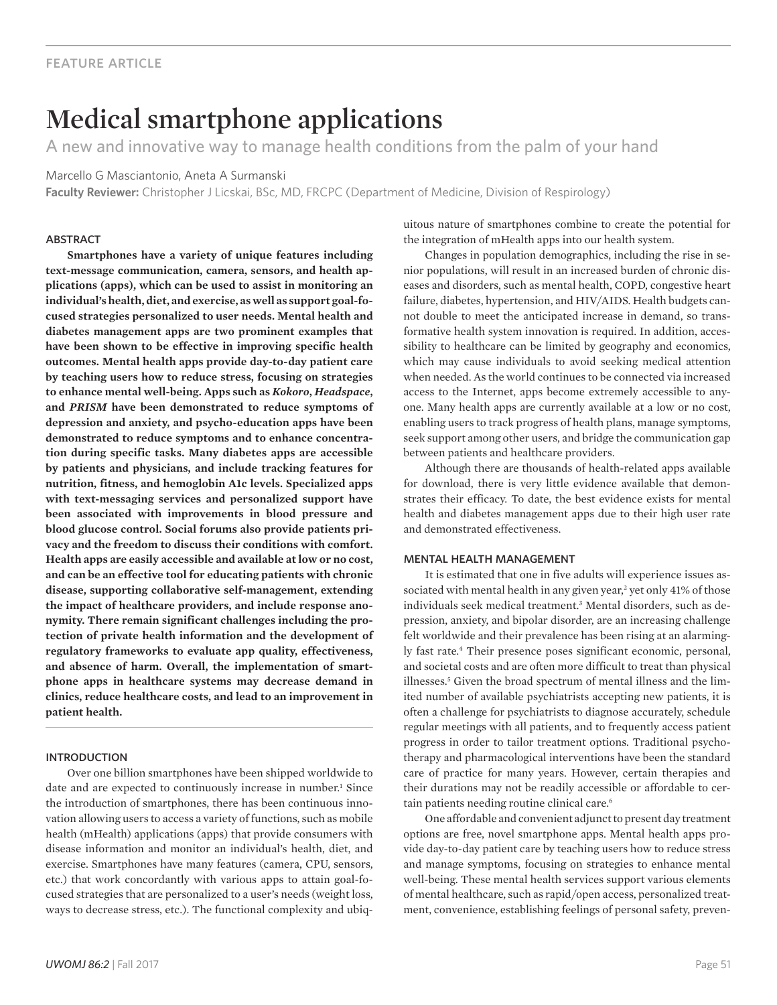# **Medical smartphone applications**

A new and innovative way to manage health conditions from the palm of your hand

Marcello G Masciantonio, Aneta A Surmanski

**Faculty Reviewer:** Christopher J Licskai, BSc, MD, FRCPC (Department of Medicine, Division of Respirology)

#### **ABSTRACT**

**Smartphones have a variety of unique features including text-message communication, camera, sensors, and health applications (apps), which can be used to assist in monitoring an individual's health, diet, and exercise, as well as support goal-focused strategies personalized to user needs. Mental health and diabetes management apps are two prominent examples that have been shown to be effective in improving specific health outcomes. Mental health apps provide day-to-day patient care by teaching users how to reduce stress, focusing on strategies to enhance mental well-being. Apps such as** *Kokoro***,** *Headspace***, and** *PRISM* **have been demonstrated to reduce symptoms of depression and anxiety, and psycho-education apps have been demonstrated to reduce symptoms and to enhance concentration during specific tasks. Many diabetes apps are accessible by patients and physicians, and include tracking features for nutrition, fitness, and hemoglobin A1c levels. Specialized apps with text-messaging services and personalized support have been associated with improvements in blood pressure and blood glucose control. Social forums also provide patients privacy and the freedom to discuss their conditions with comfort. Health apps are easily accessible and available at low or no cost, and can be an effective tool for educating patients with chronic disease, supporting collaborative self-management, extending the impact of healthcare providers, and include response anonymity. There remain significant challenges including the protection of private health information and the development of regulatory frameworks to evaluate app quality, effectiveness, and absence of harm. Overall, the implementation of smartphone apps in healthcare systems may decrease demand in clinics, reduce healthcare costs, and lead to an improvement in patient health.** 

## **INTRODUCTION**

Over one billion smartphones have been shipped worldwide to date and are expected to continuously increase in number.<sup>1</sup> Since the introduction of smartphones, there has been continuous innovation allowing users to access a variety of functions, such as mobile health (mHealth) applications (apps) that provide consumers with disease information and monitor an individual's health, diet, and exercise. Smartphones have many features (camera, CPU, sensors, etc.) that work concordantly with various apps to attain goal-focused strategies that are personalized to a user's needs (weight loss, ways to decrease stress, etc.). The functional complexity and ubiquitous nature of smartphones combine to create the potential for the integration of mHealth apps into our health system.

Changes in population demographics, including the rise in senior populations, will result in an increased burden of chronic diseases and disorders, such as mental health, COPD, congestive heart failure, diabetes, hypertension, and HIV/AIDS. Health budgets cannot double to meet the anticipated increase in demand, so transformative health system innovation is required. In addition, accessibility to healthcare can be limited by geography and economics, which may cause individuals to avoid seeking medical attention when needed. As the world continues to be connected via increased access to the Internet, apps become extremely accessible to anyone. Many health apps are currently available at a low or no cost, enabling users to track progress of health plans, manage symptoms, seek support among other users, and bridge the communication gap between patients and healthcare providers.

Although there are thousands of health-related apps available for download, there is very little evidence available that demonstrates their efficacy. To date, the best evidence exists for mental health and diabetes management apps due to their high user rate and demonstrated effectiveness.

#### mental health management

It is estimated that one in five adults will experience issues associated with mental health in any given year,<sup>2</sup> yet only 41% of those individuals seek medical treatment.3 Mental disorders, such as depression, anxiety, and bipolar disorder, are an increasing challenge felt worldwide and their prevalence has been rising at an alarmingly fast rate.4 Their presence poses significant economic, personal, and societal costs and are often more difficult to treat than physical illnesses.5 Given the broad spectrum of mental illness and the limited number of available psychiatrists accepting new patients, it is often a challenge for psychiatrists to diagnose accurately, schedule regular meetings with all patients, and to frequently access patient progress in order to tailor treatment options. Traditional psychotherapy and pharmacological interventions have been the standard care of practice for many years. However, certain therapies and their durations may not be readily accessible or affordable to certain patients needing routine clinical care.<sup>6</sup>

One affordable and convenient adjunct to present day treatment options are free, novel smartphone apps. Mental health apps provide day-to-day patient care by teaching users how to reduce stress and manage symptoms, focusing on strategies to enhance mental well-being. These mental health services support various elements of mental healthcare, such as rapid/open access, personalized treatment, convenience, establishing feelings of personal safety, preven-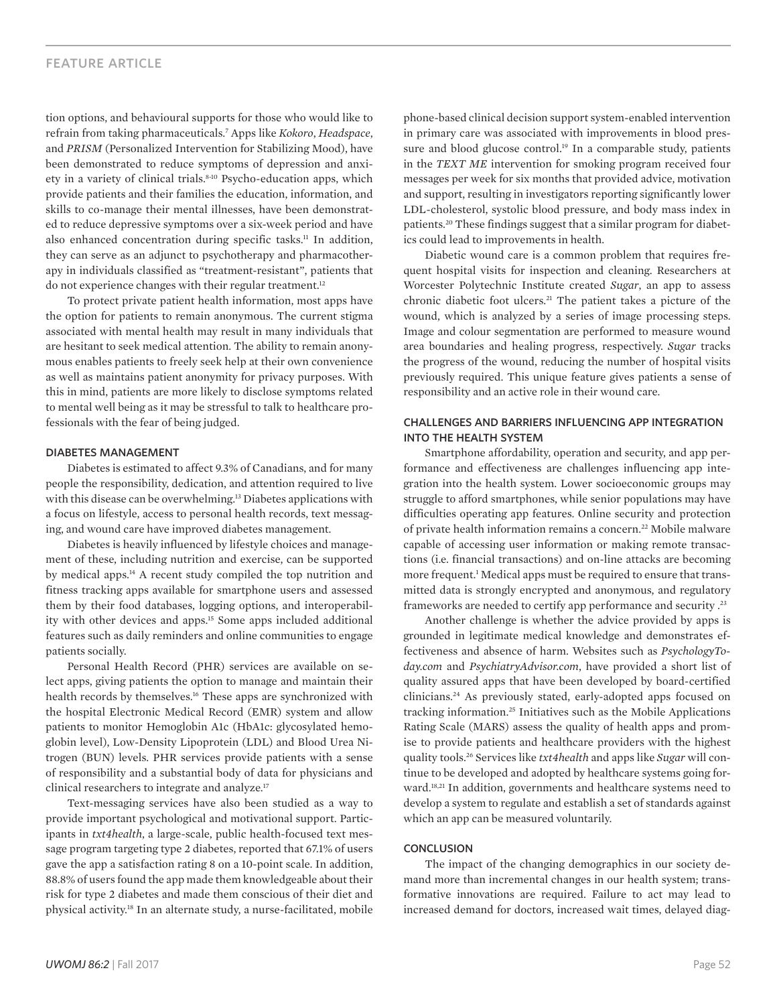## feature article

tion options, and behavioural supports for those who would like to refrain from taking pharmaceuticals.7 Apps like *Kokoro*, *Headspace*, and *PRISM* (Personalized Intervention for Stabilizing Mood), have been demonstrated to reduce symptoms of depression and anxiety in a variety of clinical trials.<sup>8-10</sup> Psycho-education apps, which provide patients and their families the education, information, and skills to co-manage their mental illnesses, have been demonstrated to reduce depressive symptoms over a six-week period and have also enhanced concentration during specific tasks.<sup>11</sup> In addition, they can serve as an adjunct to psychotherapy and pharmacotherapy in individuals classified as "treatment-resistant", patients that do not experience changes with their regular treatment.<sup>12</sup>

To protect private patient health information, most apps have the option for patients to remain anonymous. The current stigma associated with mental health may result in many individuals that are hesitant to seek medical attention. The ability to remain anonymous enables patients to freely seek help at their own convenience as well as maintains patient anonymity for privacy purposes. With this in mind, patients are more likely to disclose symptoms related to mental well being as it may be stressful to talk to healthcare professionals with the fear of being judged.

### diabetes management

Diabetes is estimated to affect 9.3% of Canadians, and for many people the responsibility, dedication, and attention required to live with this disease can be overwhelming.<sup>13</sup> Diabetes applications with a focus on lifestyle, access to personal health records, text messaging, and wound care have improved diabetes management.

Diabetes is heavily influenced by lifestyle choices and management of these, including nutrition and exercise, can be supported by medical apps.14 A recent study compiled the top nutrition and fitness tracking apps available for smartphone users and assessed them by their food databases, logging options, and interoperability with other devices and apps.15 Some apps included additional features such as daily reminders and online communities to engage patients socially.

Personal Health Record (PHR) services are available on select apps, giving patients the option to manage and maintain their health records by themselves.16 These apps are synchronized with the hospital Electronic Medical Record (EMR) system and allow patients to monitor Hemoglobin A1c (HbA1c: glycosylated hemoglobin level), Low-Density Lipoprotein (LDL) and Blood Urea Nitrogen (BUN) levels. PHR services provide patients with a sense of responsibility and a substantial body of data for physicians and clinical researchers to integrate and analyze.<sup>17</sup>

Text-messaging services have also been studied as a way to provide important psychological and motivational support. Participants in *txt4health*, a large-scale, public health-focused text message program targeting type 2 diabetes, reported that 67.1% of users gave the app a satisfaction rating 8 on a 10-point scale. In addition, 88.8% of users found the app made them knowledgeable about their risk for type 2 diabetes and made them conscious of their diet and physical activity.18 In an alternate study, a nurse-facilitated, mobile phone-based clinical decision support system-enabled intervention in primary care was associated with improvements in blood pressure and blood glucose control.<sup>19</sup> In a comparable study, patients in the *TEXT ME* intervention for smoking program received four messages per week for six months that provided advice, motivation and support, resulting in investigators reporting significantly lower LDL-cholesterol, systolic blood pressure, and body mass index in patients.20 These findings suggest that a similar program for diabetics could lead to improvements in health.

Diabetic wound care is a common problem that requires frequent hospital visits for inspection and cleaning. Researchers at Worcester Polytechnic Institute created *Sugar*, an app to assess chronic diabetic foot ulcers.21 The patient takes a picture of the wound, which is analyzed by a series of image processing steps. Image and colour segmentation are performed to measure wound area boundaries and healing progress, respectively. *Sugar* tracks the progress of the wound, reducing the number of hospital visits previously required. This unique feature gives patients a sense of responsibility and an active role in their wound care.

### challenges and barriers influencing app integration into the health system

Smartphone affordability, operation and security, and app performance and effectiveness are challenges influencing app integration into the health system. Lower socioeconomic groups may struggle to afford smartphones, while senior populations may have difficulties operating app features. Online security and protection of private health information remains a concern.22 Mobile malware capable of accessing user information or making remote transactions (i.e. financial transactions) and on-line attacks are becoming more frequent.<sup>1</sup> Medical apps must be required to ensure that transmitted data is strongly encrypted and anonymous, and regulatory frameworks are needed to certify app performance and security .23

Another challenge is whether the advice provided by apps is grounded in legitimate medical knowledge and demonstrates effectiveness and absence of harm. Websites such as *PsychologyToday.com* and *PsychiatryAdvisor.com*, have provided a short list of quality assured apps that have been developed by board-certified clinicians.24 As previously stated, early-adopted apps focused on tracking information.25 Initiatives such as the Mobile Applications Rating Scale (MARS) assess the quality of health apps and promise to provide patients and healthcare providers with the highest quality tools.26 Services like *txt4health* and apps like *Sugar* will continue to be developed and adopted by healthcare systems going forward.<sup>18,21</sup> In addition, governments and healthcare systems need to develop a system to regulate and establish a set of standards against which an app can be measured voluntarily.

#### conclusion

The impact of the changing demographics in our society demand more than incremental changes in our health system; transformative innovations are required. Failure to act may lead to increased demand for doctors, increased wait times, delayed diag-